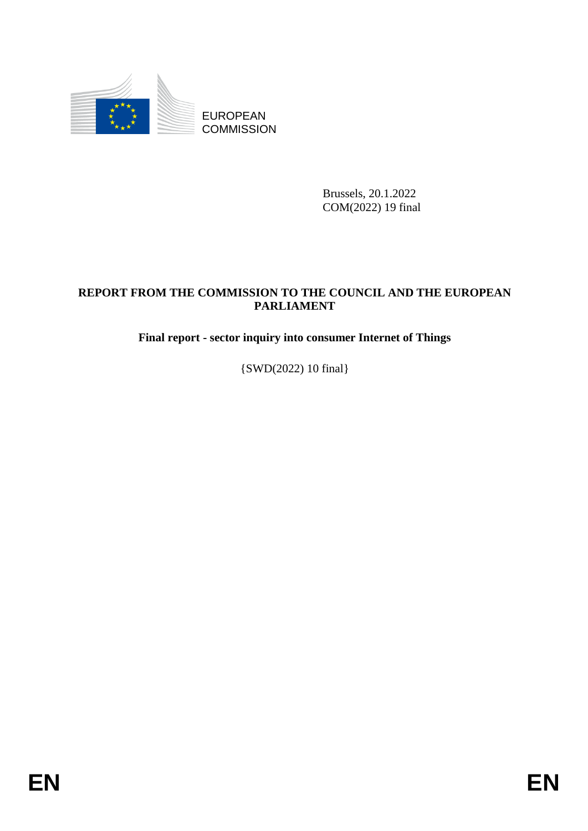

**COMMISSION** 

Brussels, 20.1.2022 COM(2022) 19 final

# EUROPEAN<br>
EUROPEAN<br>
ENGINEESION<br>
ENGINEESION<br>
ENGINEESION<br>
FREED THE COLORED SPACE AND THE EUROPEAN<br>
France Protector Sector Inquiry into consumer Internet of Things<br>
(SWD<sub>C</sub>O22) 0 (fral)<br> **ENER REPORT FROM THE COMMISSION TO THE COUNCIL AND THE EUROPEAN PARLIAMENT**

**Final report - sector inquiry into consumer Internet of Things**

{SWD(2022) 10 final}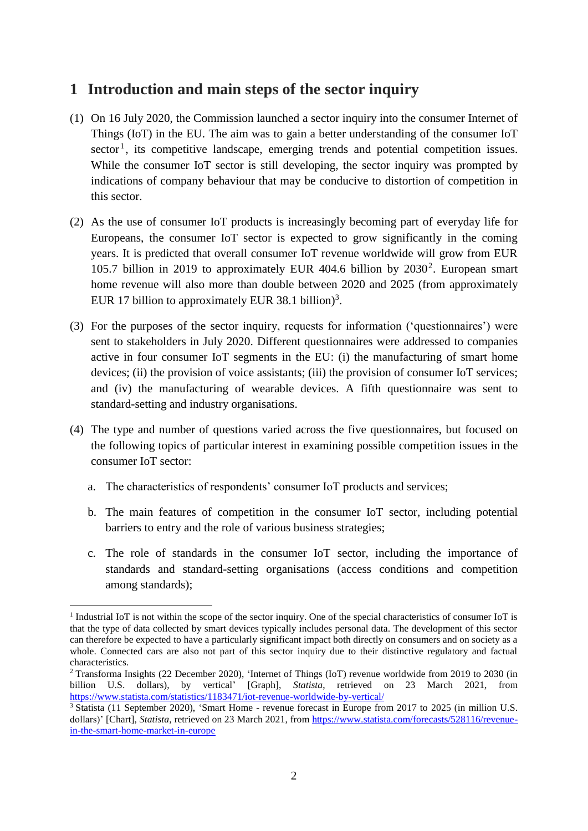## **1 Introduction and main steps of the sector inquiry**

- (1) On 16 July 2020, the Commission launched a sector inquiry into the consumer Internet of Things (IoT) in the EU. The aim was to gain a better understanding of the consumer IoT  $sector<sup>1</sup>$ , its competitive landscape, emerging trends and potential competition issues. While the consumer IoT sector is still developing, the sector inquiry was prompted by indications of company behaviour that may be conducive to distortion of competition in this sector.
- (2) As the use of consumer IoT products is increasingly becoming part of everyday life for Europeans, the consumer IoT sector is expected to grow significantly in the coming years. It is predicted that overall consumer IoT revenue worldwide will grow from EUR 105.7 billion in 2019 to approximately EUR 404.6 billion by  $2030^2$ . European smart home revenue will also more than double between 2020 and 2025 (from approximately EUR 17 billion to approximately EUR 38.1 billion)<sup>3</sup>.
- (3) For the purposes of the sector inquiry, requests for information ('questionnaires') were sent to stakeholders in July 2020. Different questionnaires were addressed to companies active in four consumer IoT segments in the EU: (i) the manufacturing of smart home devices; (ii) the provision of voice assistants; (iii) the provision of consumer IoT services; and (iv) the manufacturing of wearable devices. A fifth questionnaire was sent to standard-setting and industry organisations.
- (4) The type and number of questions varied across the five questionnaires, but focused on the following topics of particular interest in examining possible competition issues in the consumer IoT sector:
	- a. The characteristics of respondents' consumer IoT products and services;

<u>.</u>

- b. The main features of competition in the consumer IoT sector, including potential barriers to entry and the role of various business strategies;
- c. The role of standards in the consumer IoT sector, including the importance of standards and standard-setting organisations (access conditions and competition among standards);

<sup>&</sup>lt;sup>1</sup> Industrial IoT is not within the scope of the sector inquiry. One of the special characteristics of consumer IoT is that the type of data collected by smart devices typically includes personal data. The development of this sector can therefore be expected to have a particularly significant impact both directly on consumers and on society as a whole. Connected cars are also not part of this sector inquiry due to their distinctive regulatory and factual characteristics.

<sup>2</sup> Transforma Insights (22 December 2020), 'Internet of Things (IoT) revenue worldwide from 2019 to 2030 (in billion U.S. dollars), by vertical' [Graph], *Statista*, retrieved on 23 March 2021, from https://www.statista.com/statistics/1183471/iot-revenue-worldwide-by-vertical/

<sup>&</sup>lt;sup>3</sup> Statista (11 September 2020), 'Smart Home - revenue forecast in Europe from 2017 to 2025 (in million U.S. dollars)' [Chart], *Statista*, retrieved on 23 March 2021, from https://www.statista.com/forecasts/528116/revenuein-the-smart-home-market-in-europe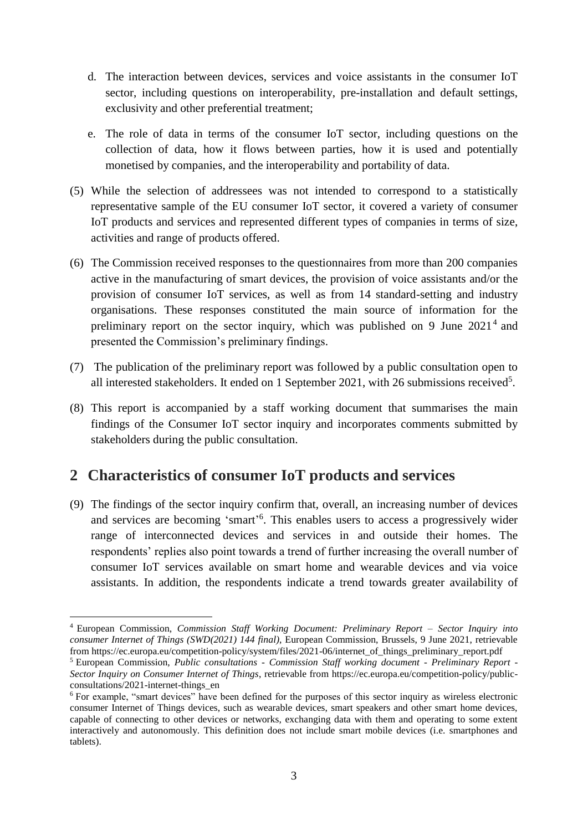- d. The interaction between devices, services and voice assistants in the consumer IoT sector, including questions on interoperability, pre-installation and default settings, exclusivity and other preferential treatment;
- e. The role of data in terms of the consumer IoT sector, including questions on the collection of data, how it flows between parties, how it is used and potentially monetised by companies, and the interoperability and portability of data.
- (5) While the selection of addressees was not intended to correspond to a statistically representative sample of the EU consumer IoT sector, it covered a variety of consumer IoT products and services and represented different types of companies in terms of size, activities and range of products offered.
- (6) The Commission received responses to the questionnaires from more than 200 companies active in the manufacturing of smart devices, the provision of voice assistants and/or the provision of consumer IoT services, as well as from 14 standard-setting and industry organisations. These responses constituted the main source of information for the preliminary report on the sector inquiry, which was published on 9 June  $2021<sup>4</sup>$  and presented the Commission's preliminary findings.
- (7) The publication of the preliminary report was followed by a public consultation open to all interested stakeholders. It ended on 1 September 2021, with 26 submissions received<sup>5</sup>.
- (8) This report is accompanied by a staff working document that summarises the main findings of the Consumer IoT sector inquiry and incorporates comments submitted by stakeholders during the public consultation.

# **2 Characteristics of consumer IoT products and services**

1

(9) The findings of the sector inquiry confirm that, overall, an increasing number of devices and services are becoming 'smart' 6 . This enables users to access a progressively wider range of interconnected devices and services in and outside their homes. The respondents' replies also point towards a trend of further increasing the overall number of consumer IoT services available on smart home and wearable devices and via voice assistants. In addition, the respondents indicate a trend towards greater availability of

<sup>4</sup> European Commission, *Commission Staff Working Document: Preliminary Report – Sector Inquiry into consumer Internet of Things (SWD(2021) 144 final)*, European Commission, Brussels, 9 June 2021, retrievable from https://ec.europa.eu/competition-policy/system/files/2021-06/internet\_of\_things\_preliminary\_report.pdf

<sup>5</sup> European Commission, *Public consultations - Commission Staff working document - Preliminary Report - Sector Inquiry on Consumer Internet of Things*, retrievable from https://ec.europa.eu/competition-policy/publicconsultations/2021-internet-things\_en

<sup>&</sup>lt;sup>6</sup> For example, "smart devices" have been defined for the purposes of this sector inquiry as wireless electronic consumer Internet of Things devices, such as wearable devices, smart speakers and other smart home devices, capable of connecting to other devices or networks, exchanging data with them and operating to some extent interactively and autonomously. This definition does not include smart mobile devices (i.e. smartphones and tablets).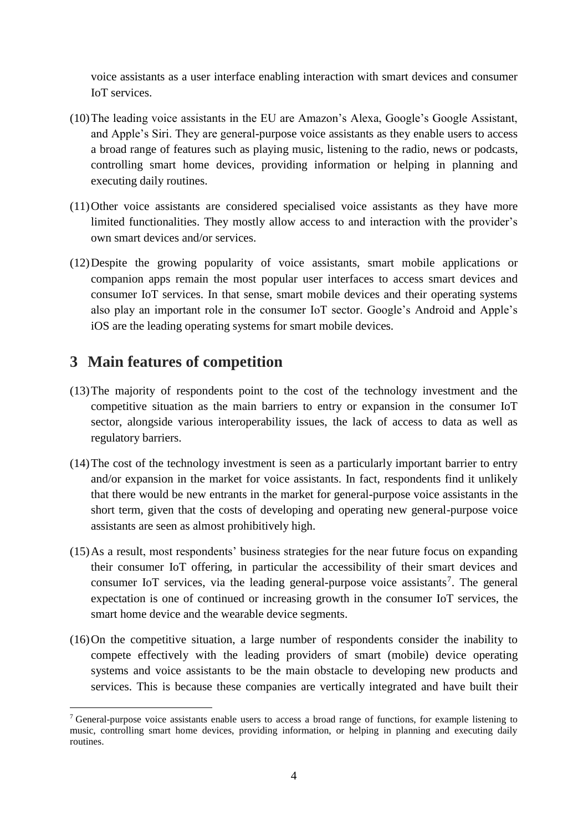voice assistants as a user interface enabling interaction with smart devices and consumer IoT services.

- (10)The leading voice assistants in the EU are Amazon's Alexa, Google's Google Assistant, and Apple's Siri. They are general-purpose voice assistants as they enable users to access a broad range of features such as playing music, listening to the radio, news or podcasts, controlling smart home devices, providing information or helping in planning and executing daily routines.
- (11)Other voice assistants are considered specialised voice assistants as they have more limited functionalities. They mostly allow access to and interaction with the provider's own smart devices and/or services.
- (12)Despite the growing popularity of voice assistants, smart mobile applications or companion apps remain the most popular user interfaces to access smart devices and consumer IoT services. In that sense, smart mobile devices and their operating systems also play an important role in the consumer IoT sector. Google's Android and Apple's iOS are the leading operating systems for smart mobile devices.

## **3 Main features of competition**

- (13)The majority of respondents point to the cost of the technology investment and the competitive situation as the main barriers to entry or expansion in the consumer IoT sector, alongside various interoperability issues, the lack of access to data as well as regulatory barriers.
- (14)The cost of the technology investment is seen as a particularly important barrier to entry and/or expansion in the market for voice assistants. In fact, respondents find it unlikely that there would be new entrants in the market for general-purpose voice assistants in the short term, given that the costs of developing and operating new general-purpose voice assistants are seen as almost prohibitively high.
- (15)As a result, most respondents' business strategies for the near future focus on expanding their consumer IoT offering, in particular the accessibility of their smart devices and consumer IoT services, via the leading general-purpose voice assistants<sup>7</sup>. The general expectation is one of continued or increasing growth in the consumer IoT services, the smart home device and the wearable device segments.
- (16)On the competitive situation, a large number of respondents consider the inability to compete effectively with the leading providers of smart (mobile) device operating systems and voice assistants to be the main obstacle to developing new products and services. This is because these companies are vertically integrated and have built their

<sup>1</sup> <sup>7</sup> General-purpose voice assistants enable users to access a broad range of functions, for example listening to music, controlling smart home devices, providing information, or helping in planning and executing daily routines.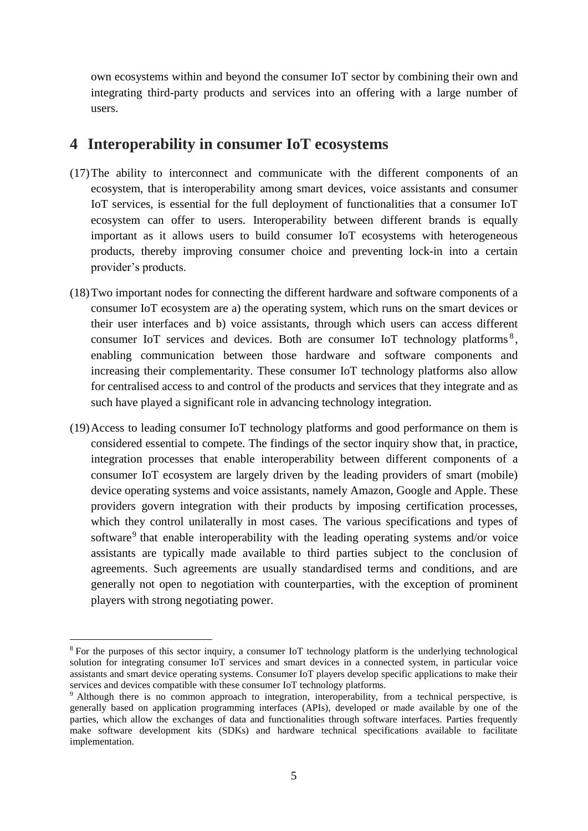own ecosystems within and beyond the consumer IoT sector by combining their own and integrating third-party products and services into an offering with a large number of users.

### **4 Interoperability in consumer IoT ecosystems**

- (17)The ability to interconnect and communicate with the different components of an ecosystem, that is interoperability among smart devices, voice assistants and consumer IoT services, is essential for the full deployment of functionalities that a consumer IoT ecosystem can offer to users. Interoperability between different brands is equally important as it allows users to build consumer IoT ecosystems with heterogeneous products, thereby improving consumer choice and preventing lock-in into a certain provider's products.
- (18)Two important nodes for connecting the different hardware and software components of a consumer IoT ecosystem are a) the operating system, which runs on the smart devices or their user interfaces and b) voice assistants, through which users can access different consumer IoT services and devices. Both are consumer IoT technology platforms 8 , enabling communication between those hardware and software components and increasing their complementarity. These consumer IoT technology platforms also allow for centralised access to and control of the products and services that they integrate and as such have played a significant role in advancing technology integration.
- (19)Access to leading consumer IoT technology platforms and good performance on them is considered essential to compete. The findings of the sector inquiry show that, in practice, integration processes that enable interoperability between different components of a consumer IoT ecosystem are largely driven by the leading providers of smart (mobile) device operating systems and voice assistants, namely Amazon, Google and Apple. These providers govern integration with their products by imposing certification processes, which they control unilaterally in most cases. The various specifications and types of software<sup>9</sup> that enable interoperability with the leading operating systems and/or voice assistants are typically made available to third parties subject to the conclusion of agreements. Such agreements are usually standardised terms and conditions, and are generally not open to negotiation with counterparties, with the exception of prominent players with strong negotiating power.

<sup>8</sup> For the purposes of this sector inquiry, a consumer IoT technology platform is the underlying technological solution for integrating consumer IoT services and smart devices in a connected system, in particular voice assistants and smart device operating systems. Consumer IoT players develop specific applications to make their services and devices compatible with these consumer IoT technology platforms.

<sup>&</sup>lt;sup>9</sup> Although there is no common approach to integration, interoperability, from a technical perspective, is generally based on application programming interfaces (APIs), developed or made available by one of the parties, which allow the exchanges of data and functionalities through software interfaces. Parties frequently make software development kits (SDKs) and hardware technical specifications available to facilitate implementation.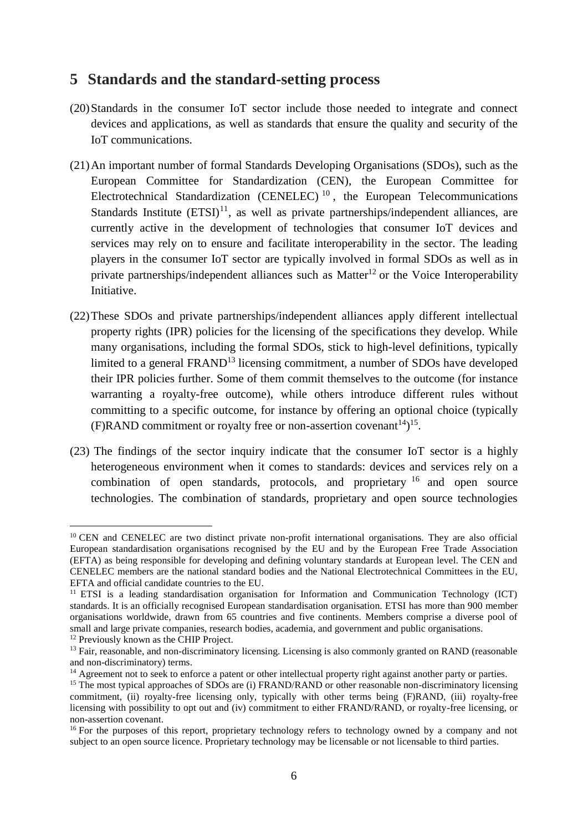### **5 Standards and the standard-setting process**

- (20)Standards in the consumer IoT sector include those needed to integrate and connect devices and applications, as well as standards that ensure the quality and security of the IoT communications.
- (21)An important number of formal Standards Developing Organisations (SDOs), such as the European Committee for Standardization (CEN), the European Committee for Electrotechnical Standardization (CENELEC)<sup>10</sup>, the European Telecommunications Standards Institute  $(ETSI)^{11}$ , as well as private partnerships/independent alliances, are currently active in the development of technologies that consumer IoT devices and services may rely on to ensure and facilitate interoperability in the sector. The leading players in the consumer IoT sector are typically involved in formal SDOs as well as in private partnerships/independent alliances such as  $Matter<sup>12</sup>$  or the Voice Interoperability Initiative.
- (22)These SDOs and private partnerships/independent alliances apply different intellectual property rights (IPR) policies for the licensing of the specifications they develop. While many organisations, including the formal SDOs, stick to high-level definitions, typically limited to a general  $FRAND<sup>13</sup>$  licensing commitment, a number of SDOs have developed their IPR policies further. Some of them commit themselves to the outcome (for instance warranting a royalty-free outcome), while others introduce different rules without committing to a specific outcome, for instance by offering an optional choice (typically (F)RAND commitment or royalty free or non-assertion covenant<sup>14</sup>)<sup>15</sup>.
- (23) The findings of the sector inquiry indicate that the consumer IoT sector is a highly heterogeneous environment when it comes to standards: devices and services rely on a combination of open standards, protocols, and proprietary  $16$  and open source technologies. The combination of standards, proprietary and open source technologies

<u>.</u>

<sup>&</sup>lt;sup>10</sup> CEN and CENELEC are two distinct private non-profit international organisations. They are also official European standardisation organisations recognised by the EU and by the European Free Trade Association (EFTA) as being responsible for developing and defining voluntary standards at European level. The CEN and CENELEC members are the national standard bodies and the National Electrotechnical Committees in the EU, EFTA and official candidate countries to the EU.

<sup>&</sup>lt;sup>11</sup> ETSI is a leading standardisation organisation for Information and Communication Technology (ICT) standards. It is an officially recognised European standardisation organisation. ETSI has more than 900 member organisations worldwide, drawn from 65 countries and five continents. Members comprise a diverse pool of small and large private companies, research bodies, academia, and government and public organisations. <sup>12</sup> Previously known as the CHIP Project.

<sup>&</sup>lt;sup>13</sup> Fair, reasonable, and non-discriminatory licensing. Licensing is also commonly granted on RAND (reasonable and non-discriminatory) terms.

<sup>&</sup>lt;sup>14</sup> Agreement not to seek to enforce a patent or other intellectual property right against another party or parties.

 $15$  The most typical approaches of SDOs are (i) FRAND/RAND or other reasonable non-discriminatory licensing commitment, (ii) royalty-free licensing only, typically with other terms being (F)RAND, (iii) royalty-free licensing with possibility to opt out and (iv) commitment to either FRAND/RAND, or royalty-free licensing, or non-assertion covenant.

<sup>&</sup>lt;sup>16</sup> For the purposes of this report, proprietary technology refers to technology owned by a company and not subject to an open source licence. Proprietary technology may be licensable or not licensable to third parties.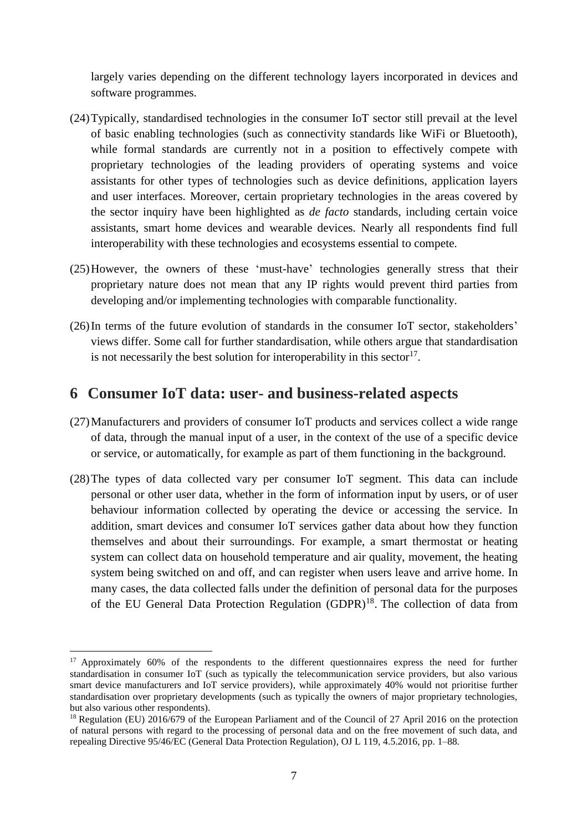largely varies depending on the different technology layers incorporated in devices and software programmes.

- (24)Typically, standardised technologies in the consumer IoT sector still prevail at the level of basic enabling technologies (such as connectivity standards like WiFi or Bluetooth), while formal standards are currently not in a position to effectively compete with proprietary technologies of the leading providers of operating systems and voice assistants for other types of technologies such as device definitions, application layers and user interfaces. Moreover, certain proprietary technologies in the areas covered by the sector inquiry have been highlighted as *de facto* standards, including certain voice assistants, smart home devices and wearable devices. Nearly all respondents find full interoperability with these technologies and ecosystems essential to compete.
- (25)However, the owners of these 'must-have' technologies generally stress that their proprietary nature does not mean that any IP rights would prevent third parties from developing and/or implementing technologies with comparable functionality.
- (26)In terms of the future evolution of standards in the consumer IoT sector, stakeholders' views differ. Some call for further standardisation, while others argue that standardisation is not necessarily the best solution for interoperability in this sector $17$ .

### **6 Consumer IoT data: user- and business-related aspects**

- (27)Manufacturers and providers of consumer IoT products and services collect a wide range of data, through the manual input of a user, in the context of the use of a specific device or service, or automatically, for example as part of them functioning in the background.
- (28)The types of data collected vary per consumer IoT segment. This data can include personal or other user data, whether in the form of information input by users, or of user behaviour information collected by operating the device or accessing the service. In addition, smart devices and consumer IoT services gather data about how they function themselves and about their surroundings. For example, a smart thermostat or heating system can collect data on household temperature and air quality, movement, the heating system being switched on and off, and can register when users leave and arrive home. In many cases, the data collected falls under the definition of personal data for the purposes of the EU General Data Protection Regulation (GDPR)<sup>18</sup>. The collection of data from

<sup>&</sup>lt;sup>17</sup> Approximately 60% of the respondents to the different questionnaires express the need for further standardisation in consumer IoT (such as typically the telecommunication service providers, but also various smart device manufacturers and IoT service providers), while approximately 40% would not prioritise further standardisation over proprietary developments (such as typically the owners of major proprietary technologies, but also various other respondents).

<sup>&</sup>lt;sup>18</sup> Regulation (EU) 2016/679 of the European Parliament and of the Council of 27 April 2016 on the protection of natural persons with regard to the processing of personal data and on the free movement of such data, and repealing Directive 95/46/EC (General Data Protection Regulation), OJ L 119, 4.5.2016, pp. 1–88*.*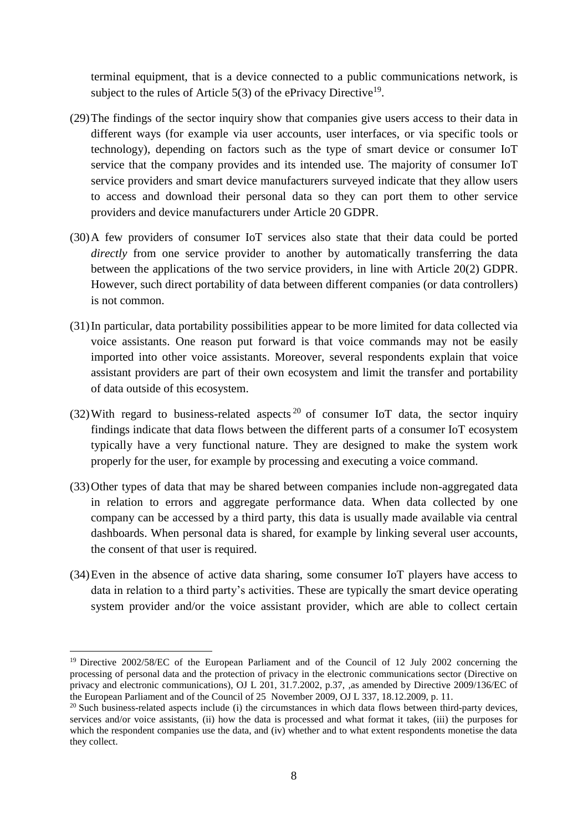terminal equipment, that is a device connected to a public communications network, is subject to the rules of Article  $5(3)$  of the ePrivacy Directive<sup>19</sup>.

- (29)The findings of the sector inquiry show that companies give users access to their data in different ways (for example via user accounts, user interfaces, or via specific tools or technology), depending on factors such as the type of smart device or consumer IoT service that the company provides and its intended use. The majority of consumer IoT service providers and smart device manufacturers surveyed indicate that they allow users to access and download their personal data so they can port them to other service providers and device manufacturers under Article 20 GDPR.
- (30)A few providers of consumer IoT services also state that their data could be ported *directly* from one service provider to another by automatically transferring the data between the applications of the two service providers, in line with Article 20(2) GDPR. However, such direct portability of data between different companies (or data controllers) is not common.
- (31)In particular, data portability possibilities appear to be more limited for data collected via voice assistants. One reason put forward is that voice commands may not be easily imported into other voice assistants. Moreover, several respondents explain that voice assistant providers are part of their own ecosystem and limit the transfer and portability of data outside of this ecosystem.
- (32) With regard to business-related aspects<sup>20</sup> of consumer IoT data, the sector inquiry findings indicate that data flows between the different parts of a consumer IoT ecosystem typically have a very functional nature. They are designed to make the system work properly for the user, for example by processing and executing a voice command.
- (33)Other types of data that may be shared between companies include non-aggregated data in relation to errors and aggregate performance data. When data collected by one company can be accessed by a third party, this data is usually made available via central dashboards. When personal data is shared, for example by linking several user accounts, the consent of that user is required.
- (34)Even in the absence of active data sharing, some consumer IoT players have access to data in relation to a third party's activities. These are typically the smart device operating system provider and/or the voice assistant provider, which are able to collect certain

<sup>&</sup>lt;sup>19</sup> Directive 2002/58/EC of the European Parliament and of the Council of 12 July 2002 concerning the processing of personal data and the protection of privacy in the electronic communications sector (Directive on privacy and electronic communications), OJ L 201, 31.7.2002, p.37, ,as amended by Directive 2009/136/EC of the European Parliament and of the Council of 25 November 2009, OJ L 337, 18.12.2009, p. 11.

 $20$  Such business-related aspects include (i) the circumstances in which data flows between third-party devices, services and/or voice assistants, (ii) how the data is processed and what format it takes, (iii) the purposes for which the respondent companies use the data, and (iv) whether and to what extent respondents monetise the data they collect.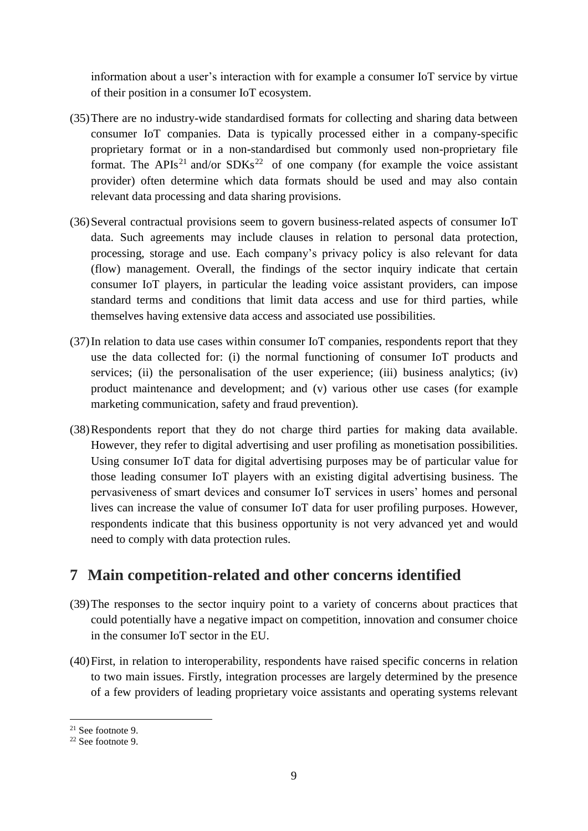information about a user's interaction with for example a consumer IoT service by virtue of their position in a consumer IoT ecosystem.

- (35)There are no industry-wide standardised formats for collecting and sharing data between consumer IoT companies. Data is typically processed either in a company-specific proprietary format or in a non-standardised but commonly used non-proprietary file format. The APIs<sup>21</sup> and/or SDKs<sup>22</sup> of one company (for example the voice assistant provider) often determine which data formats should be used and may also contain relevant data processing and data sharing provisions.
- (36)Several contractual provisions seem to govern business-related aspects of consumer IoT data. Such agreements may include clauses in relation to personal data protection, processing, storage and use. Each company's privacy policy is also relevant for data (flow) management. Overall, the findings of the sector inquiry indicate that certain consumer IoT players, in particular the leading voice assistant providers, can impose standard terms and conditions that limit data access and use for third parties, while themselves having extensive data access and associated use possibilities.
- (37)In relation to data use cases within consumer IoT companies, respondents report that they use the data collected for: (i) the normal functioning of consumer IoT products and services; (ii) the personalisation of the user experience; (iii) business analytics; (iv) product maintenance and development; and (v) various other use cases (for example marketing communication, safety and fraud prevention).
- (38)Respondents report that they do not charge third parties for making data available. However, they refer to digital advertising and user profiling as monetisation possibilities. Using consumer IoT data for digital advertising purposes may be of particular value for those leading consumer IoT players with an existing digital advertising business. The pervasiveness of smart devices and consumer IoT services in users' homes and personal lives can increase the value of consumer IoT data for user profiling purposes. However, respondents indicate that this business opportunity is not very advanced yet and would need to comply with data protection rules.

# **7 Main competition-related and other concerns identified**

- (39)The responses to the sector inquiry point to a variety of concerns about practices that could potentially have a negative impact on competition, innovation and consumer choice in the consumer IoT sector in the EU.
- (40)First, in relation to interoperability, respondents have raised specific concerns in relation to two main issues. Firstly, integration processes are largely determined by the presence of a few providers of leading proprietary voice assistants and operating systems relevant

<sup>21</sup> See footnote 9.

<sup>22</sup> See footnote 9.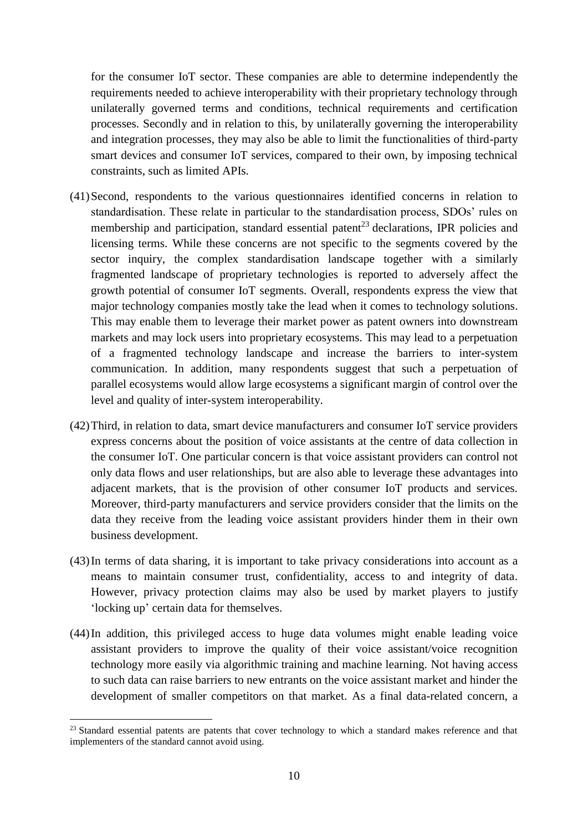for the consumer IoT sector. These companies are able to determine independently the requirements needed to achieve interoperability with their proprietary technology through unilaterally governed terms and conditions, technical requirements and certification processes. Secondly and in relation to this, by unilaterally governing the interoperability and integration processes, they may also be able to limit the functionalities of third-party smart devices and consumer IoT services, compared to their own, by imposing technical constraints, such as limited APIs.

- (41)Second, respondents to the various questionnaires identified concerns in relation to standardisation. These relate in particular to the standardisation process, SDOs' rules on membership and participation, standard essential patent<sup>23</sup> declarations, IPR policies and licensing terms. While these concerns are not specific to the segments covered by the sector inquiry, the complex standardisation landscape together with a similarly fragmented landscape of proprietary technologies is reported to adversely affect the growth potential of consumer IoT segments. Overall, respondents express the view that major technology companies mostly take the lead when it comes to technology solutions. This may enable them to leverage their market power as patent owners into downstream markets and may lock users into proprietary ecosystems. This may lead to a perpetuation of a fragmented technology landscape and increase the barriers to inter-system communication. In addition, many respondents suggest that such a perpetuation of parallel ecosystems would allow large ecosystems a significant margin of control over the level and quality of inter-system interoperability.
- (42)Third, in relation to data, smart device manufacturers and consumer IoT service providers express concerns about the position of voice assistants at the centre of data collection in the consumer IoT. One particular concern is that voice assistant providers can control not only data flows and user relationships, but are also able to leverage these advantages into adjacent markets, that is the provision of other consumer IoT products and services. Moreover, third-party manufacturers and service providers consider that the limits on the data they receive from the leading voice assistant providers hinder them in their own business development.
- (43)In terms of data sharing, it is important to take privacy considerations into account as a means to maintain consumer trust, confidentiality, access to and integrity of data. However, privacy protection claims may also be used by market players to justify 'locking up' certain data for themselves.
- (44)In addition, this privileged access to huge data volumes might enable leading voice assistant providers to improve the quality of their voice assistant/voice recognition technology more easily via algorithmic training and machine learning. Not having access to such data can raise barriers to new entrants on the voice assistant market and hinder the development of smaller competitors on that market. As a final data-related concern, a

<sup>&</sup>lt;sup>23</sup> Standard essential patents are patents that cover technology to which a standard makes reference and that implementers of the standard cannot avoid using.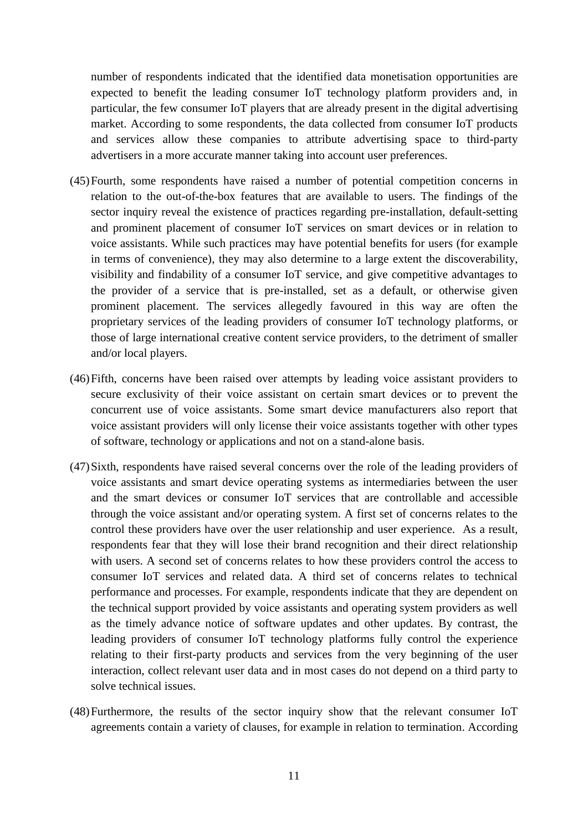number of respondents indicated that the identified data monetisation opportunities are expected to benefit the leading consumer IoT technology platform providers and, in particular, the few consumer IoT players that are already present in the digital advertising market. According to some respondents, the data collected from consumer IoT products and services allow these companies to attribute advertising space to third-party advertisers in a more accurate manner taking into account user preferences.

- (45)Fourth, some respondents have raised a number of potential competition concerns in relation to the out-of-the-box features that are available to users. The findings of the sector inquiry reveal the existence of practices regarding pre-installation, default-setting and prominent placement of consumer IoT services on smart devices or in relation to voice assistants. While such practices may have potential benefits for users (for example in terms of convenience), they may also determine to a large extent the discoverability, visibility and findability of a consumer IoT service, and give competitive advantages to the provider of a service that is pre-installed, set as a default, or otherwise given prominent placement. The services allegedly favoured in this way are often the proprietary services of the leading providers of consumer IoT technology platforms, or those of large international creative content service providers, to the detriment of smaller and/or local players.
- (46)Fifth, concerns have been raised over attempts by leading voice assistant providers to secure exclusivity of their voice assistant on certain smart devices or to prevent the concurrent use of voice assistants. Some smart device manufacturers also report that voice assistant providers will only license their voice assistants together with other types of software, technology or applications and not on a stand-alone basis.
- (47)Sixth, respondents have raised several concerns over the role of the leading providers of voice assistants and smart device operating systems as intermediaries between the user and the smart devices or consumer IoT services that are controllable and accessible through the voice assistant and/or operating system. A first set of concerns relates to the control these providers have over the user relationship and user experience. As a result, respondents fear that they will lose their brand recognition and their direct relationship with users. A second set of concerns relates to how these providers control the access to consumer IoT services and related data. A third set of concerns relates to technical performance and processes. For example, respondents indicate that they are dependent on the technical support provided by voice assistants and operating system providers as well as the timely advance notice of software updates and other updates. By contrast, the leading providers of consumer IoT technology platforms fully control the experience relating to their first-party products and services from the very beginning of the user interaction, collect relevant user data and in most cases do not depend on a third party to solve technical issues.
- (48)Furthermore, the results of the sector inquiry show that the relevant consumer IoT agreements contain a variety of clauses, for example in relation to termination. According